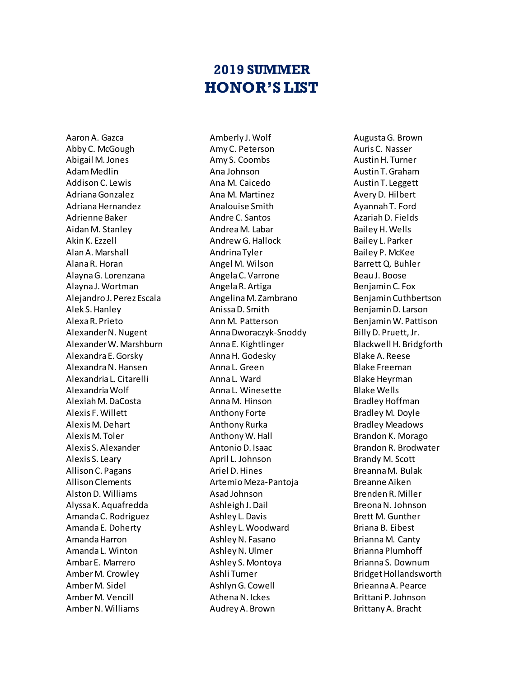## **2019 SUMMER HONOR'S LIST**

Aaron A. Gazca Abby C. McGough Abigail M. Jones Adam Medlin Addison C. Lewis Adriana Gonzalez Adriana Hernandez Adrienne Baker Aidan M. Stanley Akin K. Ezzell Alan A. Marshall Alana R. Horan Alayna G. Lorenzana Alayna J. Wortman Alejandro J. Perez Escala Alek S. Hanley Alexa R. Prieto Alexander N. Nugent Alexander W. Marshburn Alexandra E. Gorsky Alexandra N. Hansen Alexandria L. Citarelli Alexandria Wolf Alexiah M. DaCosta Alexis F. Willett Alexis M. Dehart Alexis M. Toler Alexis S. Alexander Alexis S. Leary Allison C. Pagans Allison Clements Alston D. Williams Alyssa K. Aquafredda Amanda C. Rodriguez Amanda E. Doherty Amanda Harron Amanda L. Winton Ambar E. Marrero Amber M. Crowley Amber M. Sidel Amber M. Vencill Amber N. Williams

Amberly J. Wolf Amy C. Peterson Amy S. Coombs Ana Johnson Ana M. Caicedo Ana M. Martinez Analouise Smith Andre C. Santos Andrea M. Labar Andrew G. Hallock Andrina Tyler Angel M. Wilson Angela C. Varrone Angela R. Artiga Angelina M. Zambrano Anissa D. Smith Ann M. Patterson Anna Dworaczyk-Snoddy Anna E. Kightlinger Anna H. Godesky Anna L. Green Anna L. Ward Anna L. Winesette Anna M. Hinson Anthony Forte Anthony Rurka Anthony W. Hall Antonio D. Isaac April L. Johnson Ariel D. Hines Artemio Meza-Pantoja Asad Johnson Ashleigh J. Dail Ashley L. Davis Ashley L. Woodward Ashley N. Fasano Ashley N. Ulmer Ashley S. Montoya Ashli Turner Ashlyn G. Cowell Athena N. Ickes Audrey A. Brown

Augusta G. Brown Auris C. Nasser Austin H. Turner Austin T. Graham Austin T. Leggett Avery D. Hilbert Ayannah T. Ford Azariah D. Fields Bailey H. Wells Bailey L. Parker Bailey P. McKee Barrett Q. Buhler Beau J. Boose Benjamin C. Fox Benjamin Cuthbertson Benjamin D. Larson Benjamin W. Pattison Billy D. Pruett, Jr. Blackwell H. Bridgforth Blake A. Reese Blake Freeman Blake Heyrman Blake Wells Bradley Hoffman Bradley M. Doyle Bradley Meadows Brandon K. Morago Brandon R. Brodwater Brandy M. Scott Breanna M. Bulak Breanne Aiken Brenden R. Miller Breona N. Johnson Brett M. Gunther Briana B. Eibest Brianna M. Canty Brianna Plumhoff Brianna S. Downum Bridget Hollandsworth Brieanna A. Pearce Brittani P. Johnson Brittany A. Bracht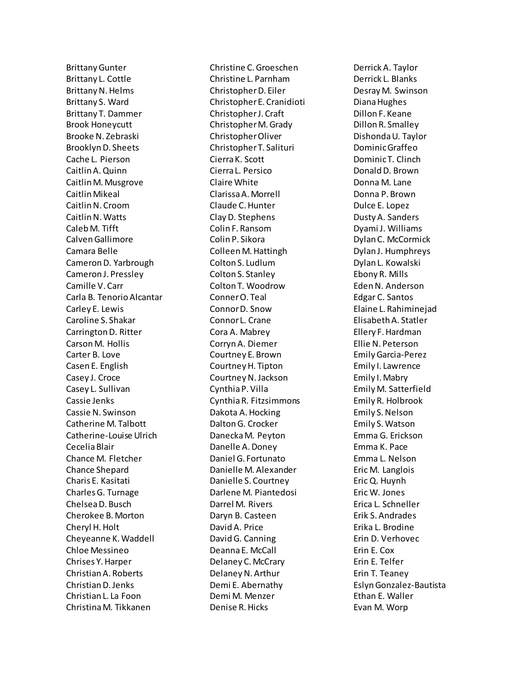Brittany Gunter Brittany L. Cottle Brittany N. Helms Brittany S. Ward Brittany T. Dammer Brook Honeycutt Brooke N. Zebraski Brooklyn D. Sheets Cache L. Pierson Caitlin A. Quinn Caitlin M. Musgrove Caitlin Mikeal Caitlin N. Croom Caitlin N. Watts Caleb M. Tifft Calven Gallimore Camara Belle Cameron D. Yarbrough Cameron J. Pressley Camille V. Carr Carla B. Tenorio Alcantar Carley E. Lewis Caroline S. Shakar Carrington D. Ritter Carson M. Hollis Carter B. Love Casen E. English Casey J. Croce Casey L. Sullivan Cassie Jenks Cassie N. Swinson Catherine M. Talbott Catherine-Louise Ulrich Cecelia Blair Chance M. Fletcher Chance Shepard Charis E. Kasitati Charles G. Turnage Chelsea D. Busch Cherokee B. Morton Cheryl H. Holt Cheyeanne K. Waddell Chloe Messineo Chrises Y. Harper Christian A. Roberts Christian D. Jenks Christian L. La Foon Christina M. Tikkanen

Christine C. Groeschen Christine L. Parnham Christopher D. Eiler Christopher E. Cranidioti Christopher J. Craft Christopher M. Grady Christopher Oliver Christopher T. Salituri Cierra K. Scott Cierra L. Persico Claire White Clarissa A. Morrell Claude C.Hunter Clay D. Stephens Colin F. Ransom Colin P. Sikora Colleen M. Hattingh Colton S. Ludlum Colton S. Stanley Colton T. Woodrow Conner O. Teal Connor D. Snow Connor L. Crane Cora A. Mabrey Corryn A. Diemer Courtney E. Brown Courtney H. Tipton Courtney N.Jackson Cynthia P. Villa Cynthia R. Fitzsimmons Dakota A. Hocking Dalton G. Crocker Danecka M. Peyton Danelle A. Doney Daniel G. Fortunato Danielle M. Alexander Danielle S. Courtney Darlene M. Piantedosi Darrel M. Rivers Daryn B. Casteen David A. Price David G. Canning Deanna E. McCall Delaney C. McCrary Delaney N. Arthur Demi E. Abernathy Demi M. Menzer Denise R. Hicks

Derrick A. Taylor Derrick L. Blanks Desray M. Swinson Diana Hughes Dillon F. Keane Dillon R. Smalley Dishonda U. Taylor Dominic Graffeo Dominic T. Clinch Donald D. Brown Donna M. Lane Donna P. Brown Dulce E. Lopez Dusty A. Sanders Dyami J. Williams Dylan C. McCormick Dylan J. Humphreys Dylan L. Kowalski Ebony R. Mills Eden N. Anderson Edgar C. Santos Elaine L. Rahiminejad Elisabeth A. Statler Ellery F. Hardman Ellie N. Peterson Emily Garcia-Perez Emily I. Lawrence Emily I. Mabry Emily M. Satterfield Emily R. Holbrook Emily S. Nelson Emily S. Watson Emma G. Erickson Emma K. Pace Emma L. Nelson Eric M. Langlois Eric Q. Huynh Eric W. Jones Erica L. Schneller Erik S. Andrades Erika L. Brodine Erin D. Verhovec Erin E. Cox Erin E. Telfer Erin T. Teaney Eslyn Gonzalez-Bautista Ethan E. Waller Evan M. Worp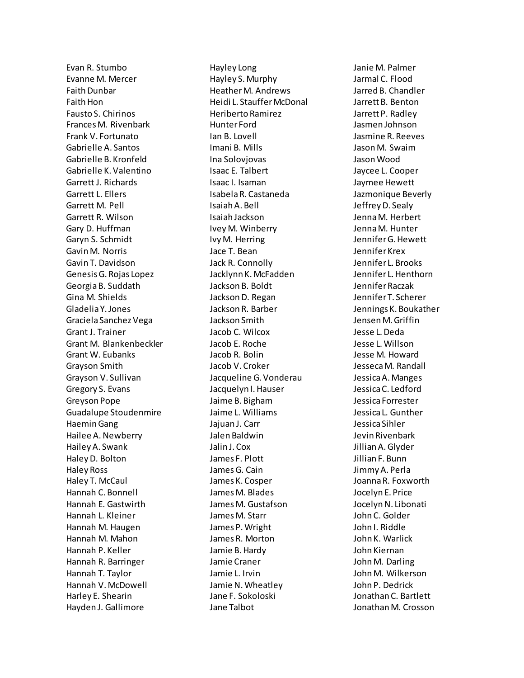Evan R. Stumbo Evanne M. Mercer Faith Dunbar Faith Hon Fausto S. Chirinos Frances M. Rivenbark Frank V. Fortunato Gabrielle A. Santos Gabrielle B. Kronfeld Gabrielle K. Valentino Garrett J. Richards Garrett L. Ellers Garrett M. Pell Garrett R. Wilson Gary D. Huffman Garyn S. Schmidt Gavin M. Norris Gavin T. Davidson Genesis G. Rojas Lopez Georgia B. Suddath Gina M. Shields Gladelia Y. Jones Graciela Sanchez Vega Grant J. Trainer Grant M. Blankenbeckler Grant W. Eubanks Grayson Smith Grayson V. Sullivan Gregory S. Evans Greyson Pope Guadalupe Stoudenmire Haemin Gang Hailee A. Newberry Hailey A. Swank Haley D. Bolton Haley Ross Haley T. McCaul Hannah C. Bonnell Hannah E. Gastwirth Hannah L. Kleiner Hannah M. Haugen Hannah M. Mahon Hannah P. Keller Hannah R. Barringer Hannah T. Taylor Hannah V. McDowell Harley E. Shearin Hayden J. Gallimore

Hayley Long Hayley S. Murphy Heather M. Andrews Heidi L. Stauffer McDonal Heriberto Ramirez Hunter Ford Ian B. Lovell Imani B. Mills Ina Solovjovas Isaac E. Talbert Isaac I. Isaman Isabela R. Castaneda Isaiah A. Bell Isaiah Jackson Ivey M. Winberry Ivy M. Herring Jace T. Bean Jack R. Connolly Jacklynn K. McFadden Jackson B. Boldt Jackson D. Regan Jackson R. Barber Jackson Smith Jacob C. Wilcox Jacob E. Roche Jacob R. Bolin Jacob V. Croker Jacqueline G. Vonderau Jacquelyn I. Hauser Jaime B. Bigham Jaime L. Williams Jajuan J. Carr Jalen Baldwin Jalin J. Cox James F. Plott James G. Cain James K. Cosper James M. Blades James M. Gustafson James M. Starr James P. Wright James R. Morton Jamie B. Hardy Jamie Craner Jamie L. Irvin Jamie N. Wheatley Jane F. Sokoloski Jane Talbot

Janie M. Palmer Jarmal C. Flood Jarred B. Chandler Jarrett B. Benton Jarrett P. Radley Jasmen Johnson Jasmine R. Reeves Jason M. Swaim Jason Wood Jaycee L. Cooper Jaymee Hewett Jazmonique Beverly Jeffrey D. Sealy Jenna M. Herbert Jenna M. Hunter Jennifer G. Hewett Jennifer Krex Jennifer L. Brooks Jennifer L. Henthorn Jennifer Raczak Jennifer T. Scherer Jennings K. Boukather Jensen M. Griffin Jesse L. Deda Jesse L. Willson Jesse M. Howard Jesseca M. Randall Jessica A. Manges Jessica C. Ledford Jessica Forrester Jessica L. Gunther Jessica Sihler Jevin Rivenbark Jillian A. Glyder Jillian F. Bunn Jimmy A. Perla Joanna R. Foxworth Jocelyn E. Price Jocelyn N. Libonati John C. Golder John I. Riddle John K. Warlick John Kiernan John M. Darling John M. Wilkerson John P. Dedrick Jonathan C. Bartlett Jonathan M. Crosson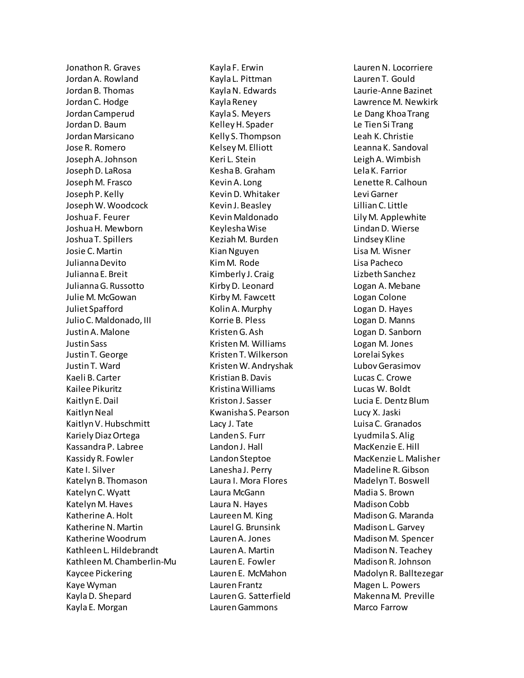Jonathon R. Graves Jordan A. Rowland Jordan B. Thomas Jordan C. Hodge Jordan Camperud Jordan D. Baum Jordan Marsicano Jose R. Romero Joseph A. Johnson Joseph D. LaRosa Joseph M. Frasco Joseph P. Kelly Joseph W. Woodcock Joshua F. Feurer Joshua H. Mewborn Joshua T. Spillers Josie C. Martin Julianna Devito Julianna E. Breit Julianna G. Russotto Julie M. McGowan Juliet Spafford Julio C. Maldonado, III Justin A. Malone Justin Sass Justin T. George Justin T. Ward Kaeli B. Carter Kailee Pikuritz Kaitlyn E. Dail Kaitlyn Neal Kaitlyn V. Hubschmitt Kariely Diaz Ortega Kassandra P. Labree Kassidy R. Fowler Kate I. Silver Katelyn B. Thomason Katelyn C. Wyatt Katelyn M. Haves Katherine A. Holt Katherine N. Martin Katherine Woodrum Kathleen L. Hildebrandt Kathleen M. Chamberlin-Mu Kaycee Pickering Kaye Wyman Kayla D. Shepard Kayla E. Morgan

Kayla F. Erwin Kayla L. Pittman Kayla N. Edwards Kayla Reney Kayla S. Meyers Kelley H. Spader Kelly S. Thompson Kelsey M. Elliott Keri L. Stein Kesha B. Graham Kevin A. Long Kevin D. Whitaker Kevin J. Beasley Kevin Maldonado Keylesha Wise Keziah M. Burden Kian Nguyen Kim M. Rode Kimberly J. Craig Kirby D. Leonard Kirby M. Fawcett Kolin A. Murphy Korrie B. Pless Kristen G. Ash Kristen M. Williams Kristen T. Wilkerson Kristen W. Andryshak Kristian B. Davis Kristina Williams Kriston J. Sasser Kwanisha S. Pearson Lacy J. Tate Landen S. Furr Landon J. Hall Landon Steptoe Lanesha J. Perry Laura I. Mora Flores Laura McGann Laura N. Hayes Laureen M. King Laurel G. Brunsink Lauren A. Jones Lauren A. Martin Lauren E. Fowler Lauren E. McMahon Lauren Frantz Lauren G. Satterfield Lauren Gammons

Lauren N. Locorriere Lauren T. Gould Laurie-Anne Bazinet Lawrence M. Newkirk Le Dang Khoa Trang Le Tien Si Trang Leah K. Christie Leanna K. Sandoval Leigh A. Wimbish Lela K. Farrior Lenette R. Calhoun Levi Garner Lillian C. Little Lily M. Applewhite Lindan D. Wierse Lindsey Kline Lisa M. Wisner Lisa Pacheco Lizbeth Sanchez Logan A. Mebane Logan Colone Logan D. Hayes Logan D. Manns Logan D. Sanborn Logan M. Jones Lorelai Sykes Lubov Gerasimov Lucas C. Crowe Lucas W. Boldt Lucia E. Dentz Blum Lucy X. Jaski Luisa C. Granados Lyudmila S. Alig MacKenzie E. Hill MacKenzie L. Malisher Madeline R. Gibson Madelyn T. Boswell Madia S. Brown Madison Cobb Madison G. Maranda Madison L. Garvey Madison M. Spencer Madison N. Teachey Madison R. Johnson Madolyn R. Balltezegar Magen L. Powers Makenna M. Preville Marco Farrow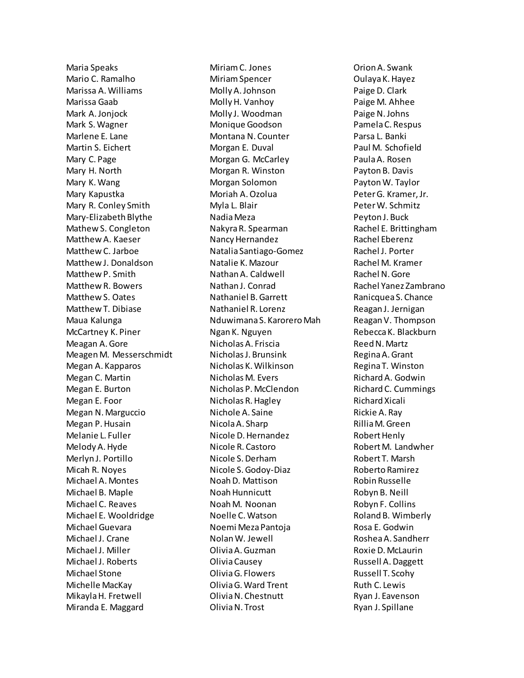Maria Speaks Mario C. Ramalho Marissa A. Williams Marissa Gaab Mark A. Jonjock Mark S. Wagner Marlene E. Lane Martin S. Eichert Mary C. Page Mary H. North Mary K. Wang Mary Kapustka Mary R. Conley Smith Mary-Elizabeth Blythe Mathew S. Congleton Matthew A. Kaeser Matthew C. Jarboe Matthew J. Donaldson Matthew P. Smith Matthew R. Bowers Matthew S. Oates Matthew T. Dibiase Maua Kalunga McCartney K. Piner Meagan A. Gore Meagen M. Messerschmidt Megan A. Kapparos Megan C. Martin Megan E. Burton Megan E. Foor Megan N. Marguccio Megan P. Husain Melanie L. Fuller Melody A. Hyde Merlyn J. Portillo Micah R. Noyes Michael A. Montes Michael B. Maple Michael C. Reaves Michael E. Wooldridge Michael Guevara Michael J. Crane Michael J. Miller Michael J. Roberts Michael Stone Michelle MacKay MikaylaH. Fretwell Miranda E. Maggard

Miriam C. Jones Miriam Spencer Molly A. Johnson Molly H. Vanhoy Molly J. Woodman Monique Goodson Montana N. Counter Morgan E. Duval Morgan G. McCarley Morgan R. Winston Morgan Solomon Moriah A. Ozolua Myla L. Blair Nadia Meza Nakyra R. Spearman Nancy Hernandez Natalia Santiago-Gomez Natalie K. Mazour Nathan A. Caldwell Nathan J. Conrad Nathaniel B. Garrett Nathaniel R. Lorenz Nduwimana S. Karorero Mah Ngan K. Nguyen Nicholas A. Friscia Nicholas J. Brunsink Nicholas K. Wilkinson Nicholas M. Evers Nicholas P. McClendon Nicholas R. Hagley Nichole A. Saine Nicola A. Sharp Nicole D. Hernandez Nicole R. Castoro Nicole S. Derham Nicole S. Godoy-Diaz Noah D. Mattison Noah Hunnicutt Noah M. Noonan Noelle C. Watson Noemi Meza Pantoja Nolan W. Jewell Olivia A. Guzman Olivia Causey Olivia G. Flowers Olivia G. Ward Trent Olivia N. Chestnutt Olivia N. Trost

Orion A. Swank Oulaya K. Hayez Paige D. Clark Paige M. Ahhee Paige N. Johns Pamela C. Respus Parsa L. Banki Paul M. Schofield Paula A. Rosen Payton B. Davis Payton W. Taylor Peter G. Kramer, Jr. Peter W. Schmitz Peyton J. Buck Rachel E. Brittingham Rachel Eberenz Rachel J. Porter Rachel M. Kramer Rachel N. Gore Rachel Yanez Zambrano Ranicquea S. Chance Reagan J. Jernigan Reagan V. Thompson Rebecca K. Blackburn Reed N. Martz Regina A. Grant Regina T. Winston Richard A. Godwin Richard C. Cummings Richard Xicali Rickie A. Ray Rillia M. Green Robert Henly Robert M. Landwher Robert T. Marsh Roberto Ramirez Robin Russelle Robyn B. Neill Robyn F. Collins Roland B. Wimberly Rosa E. Godwin Roshea A. Sandherr Roxie D. McLaurin Russell A. Daggett Russell T. Scohy Ruth C. Lewis Ryan J. Eavenson Ryan J. Spillane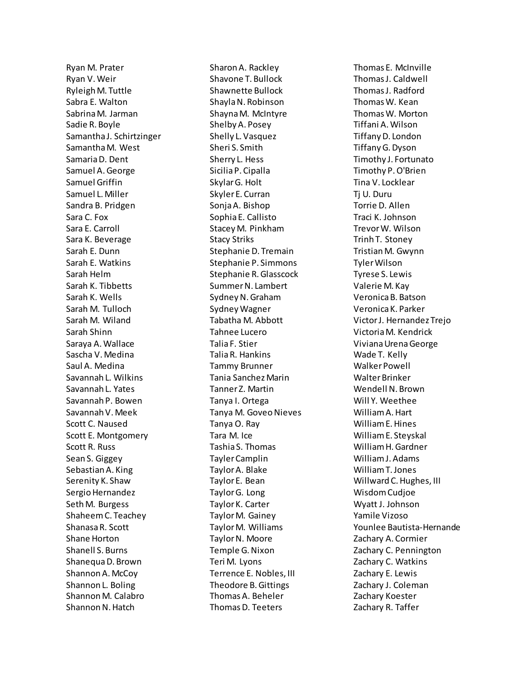Ryan M. Prater Ryan V. Weir Ryleigh M. Tuttle Sabra E. Walton Sabrina M. Jarman Sadie R. Boyle Samantha J. Schirtzinger Samantha M. West Samaria D. Dent Samuel A. George Samuel Griffin Samuel L. Miller Sandra B. Pridgen Sara C. Fox Sara E. Carroll Sara K. Beverage Sarah E. Dunn Sarah E. Watkins Sarah Helm Sarah K. Tibbetts Sarah K. Wells Sarah M. Tulloch Sarah M. Wiland Sarah Shinn Saraya A. Wallace Sascha V. Medina Saul A. Medina Savannah L. Wilkins Savannah L. Yates Savannah P. Bowen Savannah V. Meek Scott C. Naused Scott E. Montgomery Scott R. Russ Sean S. Giggey Sebastian A. King Serenity K. Shaw Sergio Hernandez Seth M. Burgess Shaheem C. Teachey Shanasa R. Scott Shane Horton Shanell S. Burns Shanequa D. Brown Shannon A. McCoy Shannon L. Boling Shannon M. Calabro Shannon N. Hatch

Sharon A. Rackley Shavone T. Bullock Shawnette Bullock Shayla N. Robinson Shayna M. McIntyre Shelby A. Posey Shelly L. Vasquez Sheri S. Smith Sherry L. Hess Sicilia P. Cipalla Skylar G. Holt Skyler E. Curran Sonja A. Bishop Sophia E. Callisto Stacey M. Pinkham Stacy Striks Stephanie D. Tremain Stephanie P. Simmons Stephanie R. Glasscock Summer N. Lambert Sydney N. Graham Sydney Wagner Tabatha M. Abbott Tahnee Lucero Talia F. Stier Talia R. Hankins Tammy Brunner Tania Sanchez Marin Tanner Z. Martin Tanya I. Ortega Tanya M. Goveo Nieves Tanya O. Ray Tara M. Ice Tashia S. Thomas Tayler Camplin Taylor A. Blake Taylor E. Bean Taylor G. Long Taylor K. Carter Taylor M. Gainey Taylor M. Williams Taylor N. Moore Temple G. Nixon Teri M. Lyons Terrence E. Nobles, III Theodore B. Gittings Thomas A. Beheler Thomas D. Teeters

Thomas E. McInville Thomas J. Caldwell Thomas J. Radford Thomas W. Kean Thomas W. Morton Tiffani A. Wilson Tiffany D. London Tiffany G. Dyson Timothy J. Fortunato Timothy P. O'Brien Tina V. Locklear Tj U. Duru Torrie D. Allen Traci K. Johnson Trevor W. Wilson Trinh T. Stoney Tristian M. Gwynn Tyler Wilson Tyrese S. Lewis Valerie M. Kay Veronica B. Batson Veronica K. Parker Victor J. Hernandez Trejo Victoria M. Kendrick Viviana Urena George Wade T. Kelly Walker Powell Walter Brinker Wendell N. Brown Will Y. Weethee William A. Hart William E. Hines William E. Steyskal William H. Gardner William J. Adams William T. Jones Willward C. Hughes, III Wisdom Cudjoe Wyatt J. Johnson Yamile Vizoso Younlee Bautista-Hernande Zachary A. Cormier Zachary C. Pennington Zachary C. Watkins Zachary E. Lewis Zachary J. Coleman Zachary Koester Zachary R. Taffer